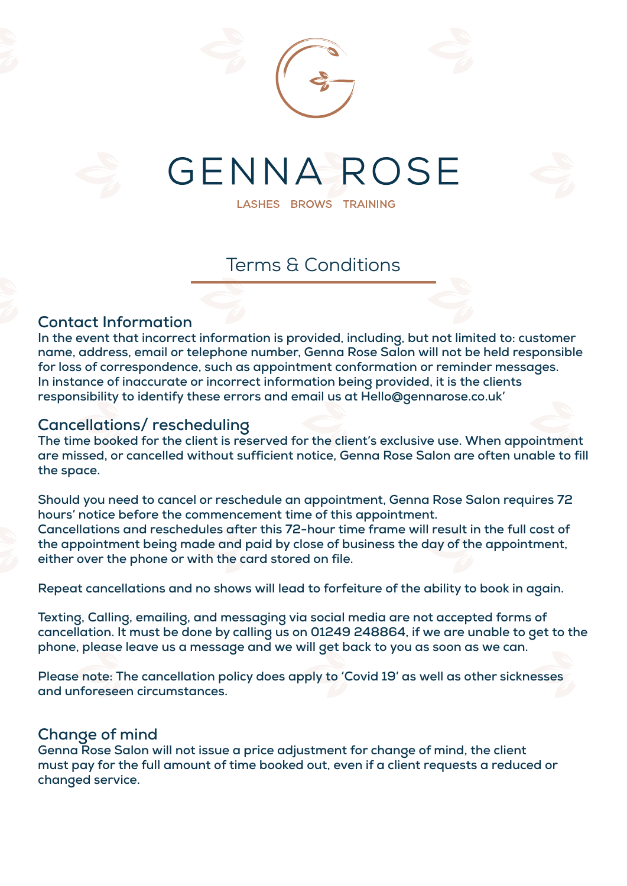

LASHES BROWS TRAINING

# Terms & Conditions

#### **Contact Information**

**In the event that incorrect information is provided, including, but not limited to: customer name, address, email or telephone number, Genna Rose Salon will not be held responsible for loss of correspondence, such as appointment conformation or reminder messages. In instance of inaccurate or incorrect information being provided, it is the clients responsibility to identify these errors and email us at Hello@gennarose.co.uk'** 

#### **Cancellations/ rescheduling**

**The time booked for the client is reserved for the client's exclusive use. When appointment are missed, or cancelled without sufficient notice, Genna Rose Salon are often unable to fill the space.** 

**Should you need to cancel or reschedule an appointment, Genna Rose Salon requires 72 hours' notice before the commencement time of this appointment. Cancellations and reschedules after this 72-hour time frame will result in the full cost of the appointment being made and paid by close of business the day of the appointment, either over the phone or with the card stored on file.** 

**Repeat cancellations and no shows will lead to forfeiture of the ability to book in again.** 

**Texting, Calling, emailing, and messaging via social media are not accepted forms of cancellation. It must be done by calling us on 01249 248864, if we are unable to get to the phone, please leave us a message and we will get back to you as soon as we can.** 

**Please note: The cancellation policy does apply to 'Covid 19' as well as other sicknesses and unforeseen circumstances.**

#### **Change of mind**

**Genna Rose Salon will not issue a price adjustment for change of mind, the client must pay for the full amount of time booked out, even if a client requests a reduced or changed service.**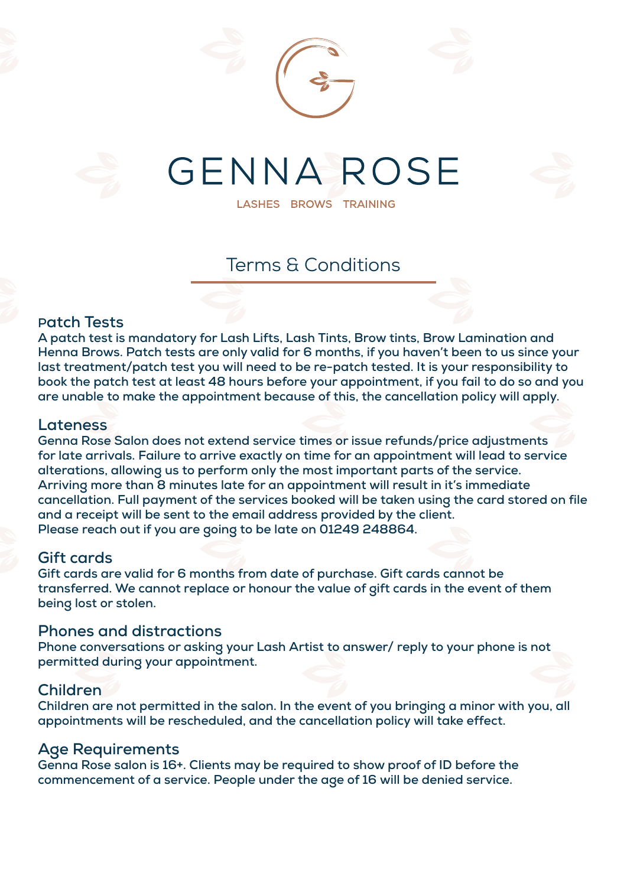

LASHES BROWS TRAINING

# Terms & Conditions

#### **Patch Tests**

**A patch test is mandatory for Lash Lifts, Lash Tints, Brow tints, Brow Lamination and Henna Brows. Patch tests are only valid for 6 months, if you haven't been to us since your last treatment/patch test you will need to be re-patch tested. It is your responsibility to book the patch test at least 48 hours before your appointment, if you fail to do so and you are unable to make the appointment because of this, the cancellation policy will apply.**

#### **Lateness**

**Genna Rose Salon does not extend service times or issue refunds/price adjustments for late arrivals. Failure to arrive exactly on time for an appointment will lead to service alterations, allowing us to perform only the most important parts of the service. Arriving more than 8 minutes late for an appointment will result in it's immediate cancellation. Full payment of the services booked will be taken using the card stored on file and a receipt will be sent to the email address provided by the client. Please reach out if you are going to be late on 01249 248864.** 

#### **Gift cards**

**Gift cards are valid for 6 months from date of purchase. Gift cards cannot be transferred. We cannot replace or honour the value of gift cards in the event of them being lost or stolen.**

#### **Phones and distractions**

**Phone conversations or asking your Lash Artist to answer/ reply to your phone is not permitted during your appointment.**

#### **Children**

**Children are not permitted in the salon. In the event of you bringing a minor with you, all appointments will be rescheduled, and the cancellation policy will take effect.**

#### **Age Requirements**

**Genna Rose salon is 16+. Clients may be required to show proof of ID before the commencement of a service. People under the age of 16 will be denied service.**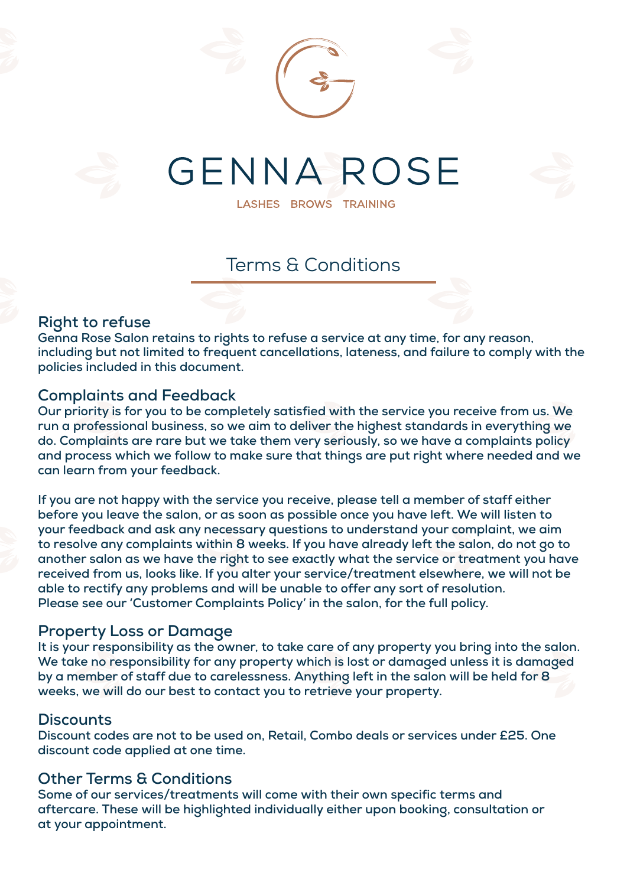

LASHES BROWS TRAINING

### Terms & Conditions

#### **Right to refuse**

**Genna Rose Salon retains to rights to refuse a service at any time, for any reason, including but not limited to frequent cancellations, lateness, and failure to comply with the policies included in this document.**

#### **Complaints and Feedback**

**Our priority is for you to be completely satisfied with the service you receive from us. We run a professional business, so we aim to deliver the highest standards in everything we do. Complaints are rare but we take them very seriously, so we have a complaints policy and process which we follow to make sure that things are put right where needed and we can learn from your feedback.**

**If you are not happy with the service you receive, please tell a member of staff either before you leave the salon, or as soon as possible once you have left. We will listen to your feedback and ask any necessary questions to understand your complaint, we aim to resolve any complaints within 8 weeks. If you have already left the salon, do not go to another salon as we have the right to see exactly what the service or treatment you have received from us, looks like. If you alter your service/treatment elsewhere, we will not be able to rectify any problems and will be unable to offer any sort of resolution. Please see our 'Customer Complaints Policy' in the salon, for the full policy.**

#### **Property Loss or Damage**

**It is your responsibility as the owner, to take care of any property you bring into the salon. We take no responsibility for any property which is lost or damaged unless it is damaged by a member of staff due to carelessness. Anything left in the salon will be held for 8 weeks, we will do our best to contact you to retrieve your property.**

#### **Discounts**

**Discount codes are not to be used on, Retail, Combo deals or services under £25. One discount code applied at one time.**

#### **Other Terms & Conditions**

**Some of our services/treatments will come with their own specific terms and aftercare. These will be highlighted individually either upon booking, consultation or at your appointment.**